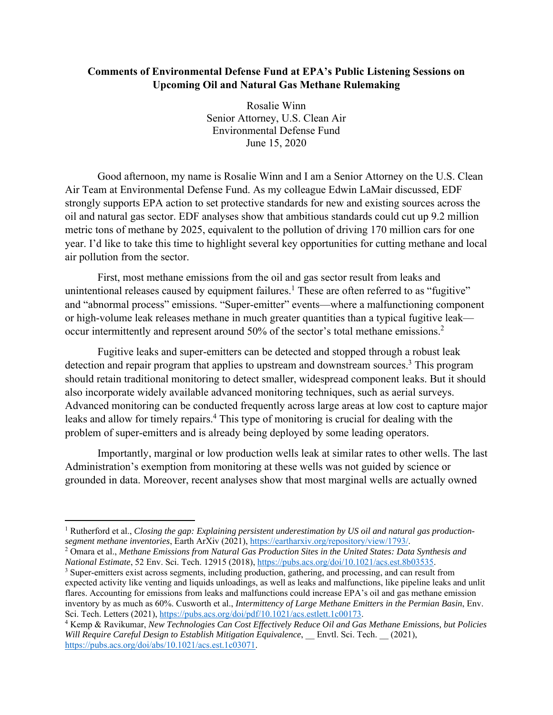## **Comments of Environmental Defense Fund at EPA's Public Listening Sessions on Upcoming Oil and Natural Gas Methane Rulemaking**

Rosalie Winn Senior Attorney, U.S. Clean Air Environmental Defense Fund June 15, 2020

Good afternoon, my name is Rosalie Winn and I am a Senior Attorney on the U.S. Clean Air Team at Environmental Defense Fund. As my colleague Edwin LaMair discussed, EDF strongly supports EPA action to set protective standards for new and existing sources across the oil and natural gas sector. EDF analyses show that ambitious standards could cut up 9.2 million metric tons of methane by 2025, equivalent to the pollution of driving 170 million cars for one year. I'd like to take this time to highlight several key opportunities for cutting methane and local air pollution from the sector.

 First, most methane emissions from the oil and gas sector result from leaks and unintentional releases caused by equipment failures.<sup>1</sup> These are often referred to as "fugitive" and "abnormal process" emissions. "Super-emitter" events—where a malfunctioning component or high-volume leak releases methane in much greater quantities than a typical fugitive leak occur intermittently and represent around 50% of the sector's total methane emissions.<sup>2</sup>

Fugitive leaks and super-emitters can be detected and stopped through a robust leak detection and repair program that applies to upstream and downstream sources.<sup>3</sup> This program should retain traditional monitoring to detect smaller, widespread component leaks. But it should also incorporate widely available advanced monitoring techniques, such as aerial surveys. Advanced monitoring can be conducted frequently across large areas at low cost to capture major leaks and allow for timely repairs.<sup>4</sup> This type of monitoring is crucial for dealing with the problem of super-emitters and is already being deployed by some leading operators.

Importantly, marginal or low production wells leak at similar rates to other wells. The last Administration's exemption from monitoring at these wells was not guided by science or grounded in data. Moreover, recent analyses show that most marginal wells are actually owned

<sup>&</sup>lt;sup>1</sup> Rutherford et al., *Closing the gap: Explaining persistent underestimation by US oil and natural gas production*segment methane inventories, Earth ArXiv (2021), https://eartharxiv.org/repository/view/1793/.

Omara et al., *Methane Emissions from Natural Gas Production Sites in the United States: Data Synthesis and National Estimate*, 52 Env. Sci. Tech. 12915 (2018), https://pubs.acs.org/doi/10.1021/acs.est.8b03535. 3

<sup>&</sup>lt;sup>3</sup> Super-emitters exist across segments, including production, gathering, and processing, and can result from expected activity like venting and liquids unloadings, as well as leaks and malfunctions, like pipeline leaks and unlit flares. Accounting for emissions from leaks and malfunctions could increase EPA's oil and gas methane emission inventory by as much as 60%. Cusworth et al., *Intermittency of Large Methane Emitters in the Permian Basin*, Env. Sci. Tech. Letters (2021), https://pubs.acs.org/doi/pdf/10.1021/acs.estlett.1c00173.

Kemp & Ravikumar, *New Technologies Can Cost Effectively Reduce Oil and Gas Methane Emissions, but Policies Will Require Careful Design to Establish Mitigation Equivalence*, \_\_ Envtl. Sci. Tech. \_\_ (2021), https://pubs.acs.org/doi/abs/10.1021/acs.est.1c03071.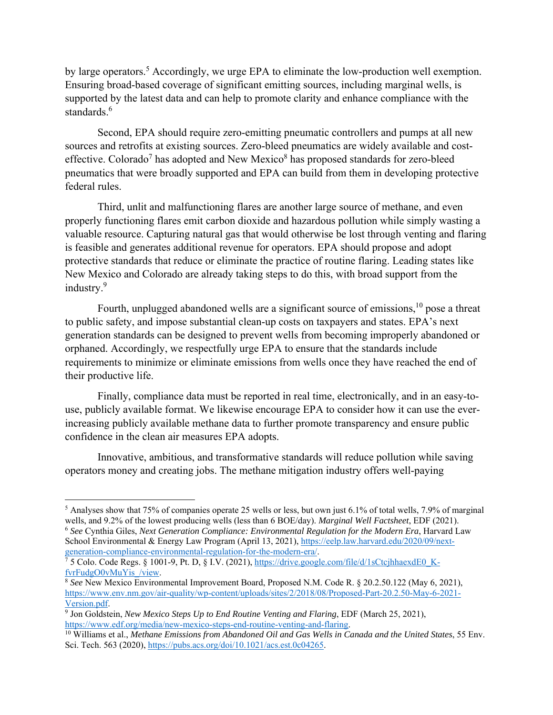by large operators.<sup>5</sup> Accordingly, we urge EPA to eliminate the low-production well exemption. Ensuring broad-based coverage of significant emitting sources, including marginal wells, is supported by the latest data and can help to promote clarity and enhance compliance with the standards.<sup>6</sup>

Second, EPA should require zero-emitting pneumatic controllers and pumps at all new sources and retrofits at existing sources. Zero-bleed pneumatics are widely available and costeffective. Colorado<sup>7</sup> has adopted and New Mexico<sup>8</sup> has proposed standards for zero-bleed pneumatics that were broadly supported and EPA can build from them in developing protective federal rules.

Third, unlit and malfunctioning flares are another large source of methane, and even properly functioning flares emit carbon dioxide and hazardous pollution while simply wasting a valuable resource. Capturing natural gas that would otherwise be lost through venting and flaring is feasible and generates additional revenue for operators. EPA should propose and adopt protective standards that reduce or eliminate the practice of routine flaring. Leading states like New Mexico and Colorado are already taking steps to do this, with broad support from the industry.<sup>9</sup>

Fourth, unplugged abandoned wells are a significant source of emissions,<sup>10</sup> pose a threat to public safety, and impose substantial clean-up costs on taxpayers and states. EPA's next generation standards can be designed to prevent wells from becoming improperly abandoned or orphaned. Accordingly, we respectfully urge EPA to ensure that the standards include requirements to minimize or eliminate emissions from wells once they have reached the end of their productive life.

Finally, compliance data must be reported in real time, electronically, and in an easy-touse, publicly available format. We likewise encourage EPA to consider how it can use the everincreasing publicly available methane data to further promote transparency and ensure public confidence in the clean air measures EPA adopts.

Innovative, ambitious, and transformative standards will reduce pollution while saving operators money and creating jobs. The methane mitigation industry offers well-paying

generation-compliance-environmental-regulation-for-the-modern-era/. 7

 $<sup>5</sup>$  Analyses show that 75% of companies operate 25 wells or less, but own just 6.1% of total wells, 7.9% of marginal</sup> wells, and 9.2% of the lowest producing wells (less than 6 BOE/day). *Marginal Well Factsheet*, EDF (2021). <sup>6</sup> *See* Cynthia Giles, *Next Generation Compliance: Environmental Regulation for the Modern Era*, Harvard Law School Environmental & Energy Law Program (April 13, 2021), https://eelp.law.harvard.edu/2020/09/next-

<sup>&</sup>lt;sup>7</sup> 5 Colo. Code Regs. § 1001-9, Pt. D, § I.V. (2021), https://drive.google.com/file/d/1sCtcjhhaexdE0\_KfvrFudgO0vMuYis\_/view. 8 *See* New Mexico Environmental Improvement Board, Proposed N.M. Code R. § 20.2.50.122 (May 6, 2021),

https://www.env.nm.gov/air-quality/wp-content/uploads/sites/2/2018/08/Proposed-Part-20.2.50-May-6-2021- Version.pdf.

<sup>&</sup>lt;sup>9</sup> Jon Goldstein, *New Mexico Steps Up to End Routine Venting and Flaring*, EDF (March 25, 2021), https://www.edf.org/media/new-mexico-steps-end-routine-venting-and-flaring.

<sup>10</sup> Williams et al., *Methane Emissions from Abandoned Oil and Gas Wells in Canada and the United States*, 55 Env. Sci. Tech. 563 (2020), https://pubs.acs.org/doi/10.1021/acs.est.0c04265.